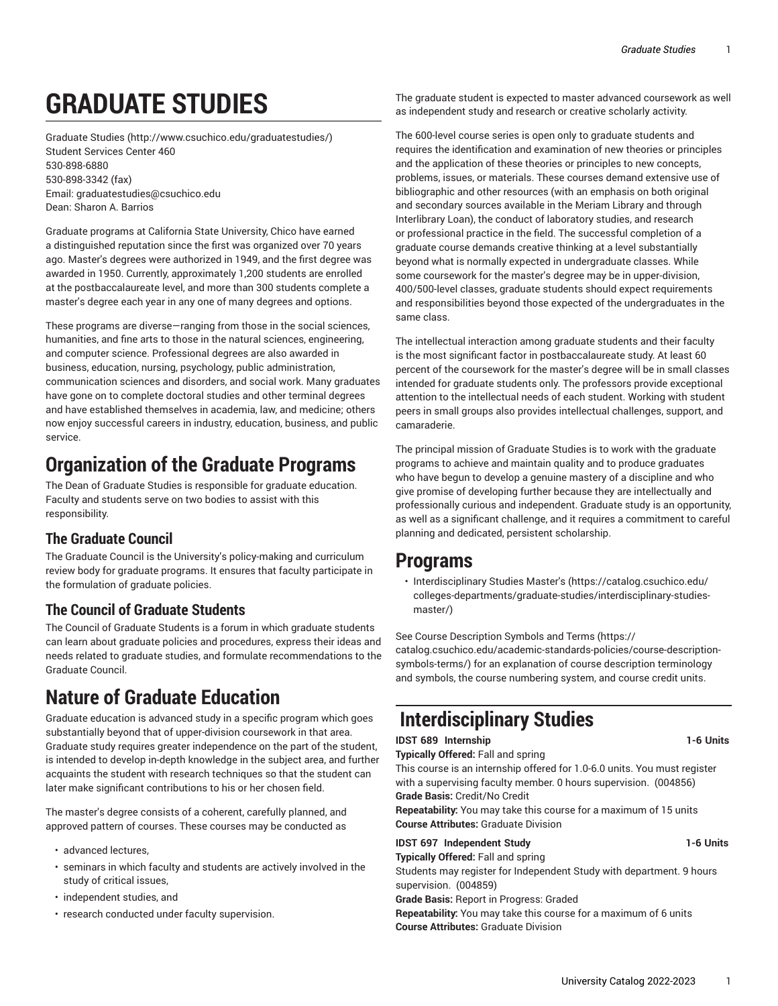# **GRADUATE STUDIES**

[Graduate Studies](http://www.csuchico.edu/graduatestudies/) (<http://www.csuchico.edu/graduatestudies/>) Student Services Center 460 [530-898-6880](tel:530-898-6880) [530-898-3342 \(fax\)](tel:530-898-3342) Email: [graduatestudies@csuchico.edu](mailto:graduatestudies@csuchico.edu) Dean: Sharon A. Barrios

Graduate programs at California State University, Chico have earned a distinguished reputation since the first was organized over 70 years ago. Master's degrees were authorized in 1949, and the first degree was awarded in 1950. Currently, approximately 1,200 students are enrolled at the postbaccalaureate level, and more than 300 students complete a master's degree each year in any one of many degrees and options.

These programs are diverse—ranging from those in the social sciences, humanities, and fine arts to those in the natural sciences, engineering, and computer science. Professional degrees are also awarded in business, education, nursing, psychology, public administration, communication sciences and disorders, and social work. Many graduates have gone on to complete doctoral studies and other terminal degrees and have established themselves in academia, law, and medicine; others now enjoy successful careers in industry, education, business, and public service.

## **Organization of the Graduate Programs**

The Dean of Graduate Studies is responsible for graduate education. Faculty and students serve on two bodies to assist with this responsibility.

#### **The Graduate Council**

The Graduate Council is the University's policy-making and curriculum review body for graduate programs. It ensures that faculty participate in the formulation of graduate policies.

#### **The Council of Graduate Students**

The Council of Graduate Students is a forum in which graduate students can learn about graduate policies and procedures, express their ideas and needs related to graduate studies, and formulate recommendations to the Graduate Council.

## **Nature of Graduate Education**

Graduate education is advanced study in a specific program which goes substantially beyond that of upper-division coursework in that area. Graduate study requires greater independence on the part of the student, is intended to develop in-depth knowledge in the subject area, and further acquaints the student with research techniques so that the student can later make significant contributions to his or her chosen field.

The master's degree consists of a coherent, carefully planned, and approved pattern of courses. These courses may be conducted as

- advanced lectures,
- seminars in which faculty and students are actively involved in the study of critical issues,
- independent studies, and
- research conducted under faculty supervision.

The graduate student is expected to master advanced coursework as well as independent study and research or creative scholarly activity.

The 600-level course series is open only to graduate students and requires the identification and examination of new theories or principles and the application of these theories or principles to new concepts, problems, issues, or materials. These courses demand extensive use of bibliographic and other resources (with an emphasis on both original and secondary sources available in the Meriam Library and through Interlibrary Loan), the conduct of laboratory studies, and research or professional practice in the field. The successful completion of a graduate course demands creative thinking at a level substantially beyond what is normally expected in undergraduate classes. While some coursework for the master's degree may be in upper-division, 400/500-level classes, graduate students should expect requirements and responsibilities beyond those expected of the undergraduates in the same class.

The intellectual interaction among graduate students and their faculty is the most significant factor in postbaccalaureate study. At least 60 percent of the coursework for the master's degree will be in small classes intended for graduate students only. The professors provide exceptional attention to the intellectual needs of each student. Working with student peers in small groups also provides intellectual challenges, support, and camaraderie.

The principal mission of Graduate Studies is to work with the graduate programs to achieve and maintain quality and to produce graduates who have begun to develop a genuine mastery of a discipline and who give promise of developing further because they are intellectually and professionally curious and independent. Graduate study is an opportunity, as well as a significant challenge, and it requires a commitment to careful planning and dedicated, persistent scholarship.

#### **Programs**

• [Interdisciplinary](https://catalog.csuchico.edu/colleges-departments/graduate-studies/interdisciplinary-studies-master/) Studies Master's ([https://catalog.csuchico.edu/](https://catalog.csuchico.edu/colleges-departments/graduate-studies/interdisciplinary-studies-master/) [colleges-departments/graduate-studies/interdisciplinary-studies](https://catalog.csuchico.edu/colleges-departments/graduate-studies/interdisciplinary-studies-master/)[master/](https://catalog.csuchico.edu/colleges-departments/graduate-studies/interdisciplinary-studies-master/))

See Course [Description](https://catalog.csuchico.edu/academic-standards-policies/course-description-symbols-terms/) Symbols and Terms ([https://](https://catalog.csuchico.edu/academic-standards-policies/course-description-symbols-terms/) [catalog.csuchico.edu/academic-standards-policies/course-description](https://catalog.csuchico.edu/academic-standards-policies/course-description-symbols-terms/)[symbols-terms/](https://catalog.csuchico.edu/academic-standards-policies/course-description-symbols-terms/)) for an explanation of course description terminology and symbols, the course numbering system, and course credit units.

# **Interdisciplinary Studies**

**IDST 689 Internship 1-6 Units** 

**Typically Offered:** Fall and spring This course is an internship offered for 1.0-6.0 units. You must register with a supervising faculty member. 0 hours supervision. (004856) **Grade Basis:** Credit/No Credit **Repeatability:** You may take this course for a maximum of 15 units

**Course Attributes:** Graduate Division

**IDST 697 Independent Study 1-6 Units Typically Offered:** Fall and spring

Students may register for Independent Study with department. 9 hours supervision. (004859)

**Grade Basis:** Report in Progress: Graded

**Repeatability:** You may take this course for a maximum of 6 units **Course Attributes:** Graduate Division